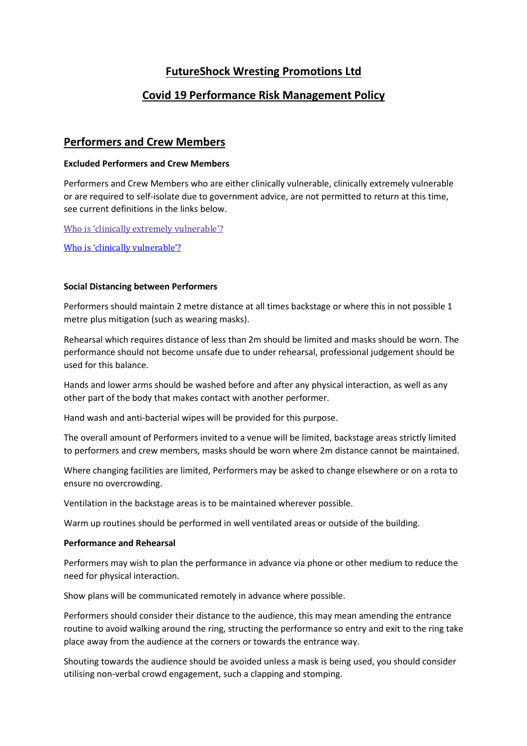# **FutureShock Wresting Promotions Ltd**

# **Covid 19 Performance Risk Management Policy**

## **Performers and Crew Members**

## **Excluded Performers and Crew Members**

Performers and Crew Members who are either clinically vulnerable, clinically extremely vulnerable or are required to self-isolate due to government advice, are not permitted to return at this time, see current definitions in the links below.

Who is 'clinically extremely vulnerable'?

Who is 'clinically vulnerable'?

## **Social Distancing between Performers**

Performers should maintain 2 metre distance at all times backstage or where this in not possible 1 metre plus mitigation (such as wearing masks).

Rehearsal which requires distance of less than 2m should be limited and masks should be worn. The performance should not become unsafe due to under rehearsal, professional judgement should be used for this balance.

Hands and lower arms should be washed before and after any physical interaction, as well as any other part of the body that makes contact with another performer.

Hand wash and anti-bacterial wipes will be provided for this purpose.

The overall amount of Performers invited to a venue will be limited, backstage areas strictly limited to performers and crew members, masks should be worn where 2m distance cannot be maintained.

Where changing facilities are limited, Performers may be asked to change elsewhere or on a rota to ensure no overcrowding.

Ventilation in the backstage areas is to be maintained wherever possible.

Warm up routines should be performed in well ventilated areas or outside of the building.

## **Performance and Rehearsal**

Performers may wish to plan the performance in advance via phone or other medium to reduce the need for physical interaction.

Show plans will be communicated remotely in advance where possible.

Performers should consider their distance to the audience, this may mean amending the entrance routine to avoid walking around the ring, structing the performance so entry and exit to the ring take place away from the audience at the corners or towards the entrance way.

Shouting towards the audience should be avoided unless a mask is being used, you should consider utilising non-verbal crowd engagement, such a clapping and stomping.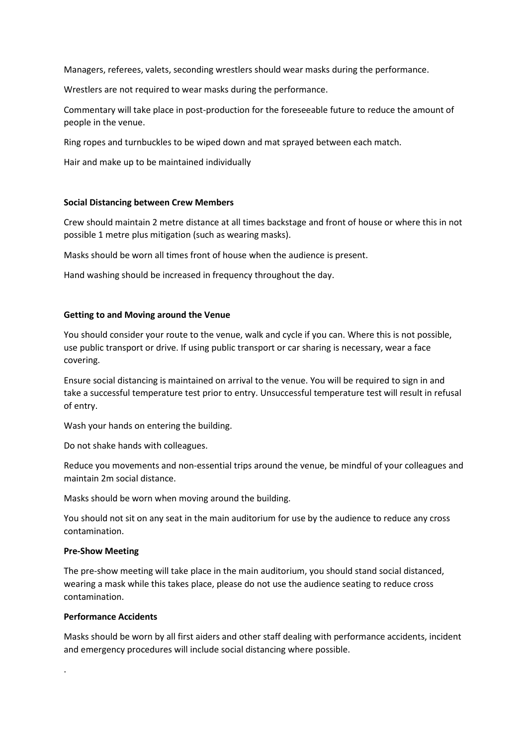Managers, referees, valets, seconding wrestlers should wear masks during the performance.

Wrestlers are not required to wear masks during the performance.

Commentary will take place in post-production for the foreseeable future to reduce the amount of people in the venue.

Ring ropes and turnbuckles to be wiped down and mat sprayed between each match.

Hair and make up to be maintained individually

#### **Social Distancing between Crew Members**

Crew should maintain 2 metre distance at all times backstage and front of house or where this in not possible 1 metre plus mitigation (such as wearing masks).

Masks should be worn all times front of house when the audience is present.

Hand washing should be increased in frequency throughout the day.

## **Getting to and Moving around the Venue**

You should consider your route to the venue, walk and cycle if you can. Where this is not possible, use public transport or drive. If using public transport or car sharing is necessary, wear a face covering.

Ensure social distancing is maintained on arrival to the venue. You will be required to sign in and take a successful temperature test prior to entry. Unsuccessful temperature test will result in refusal of entry.

Wash your hands on entering the building.

Do not shake hands with colleagues.

Reduce you movements and non-essential trips around the venue, be mindful of your colleagues and maintain 2m social distance.

Masks should be worn when moving around the building.

You should not sit on any seat in the main auditorium for use by the audience to reduce any cross contamination.

#### **Pre-Show Meeting**

The pre-show meeting will take place in the main auditorium, you should stand social distanced, wearing a mask while this takes place, please do not use the audience seating to reduce cross contamination.

#### **Performance Accidents**

.

Masks should be worn by all first aiders and other staff dealing with performance accidents, incident and emergency procedures will include social distancing where possible.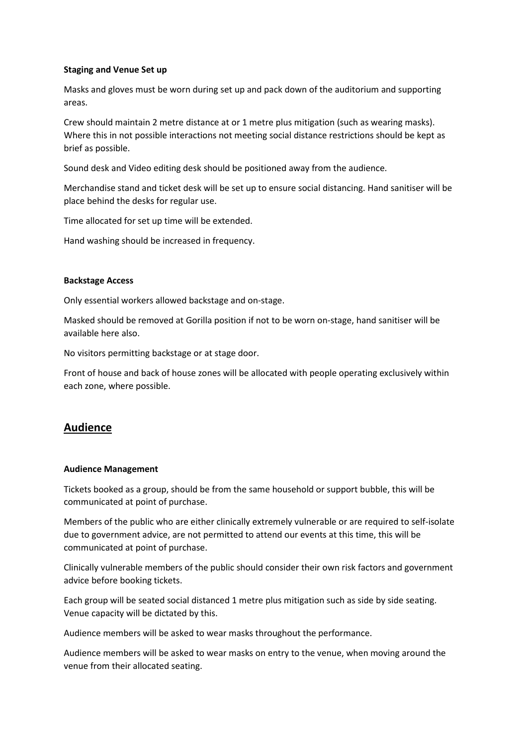### **Staging and Venue Set up**

Masks and gloves must be worn during set up and pack down of the auditorium and supporting areas.

Crew should maintain 2 metre distance at or 1 metre plus mitigation (such as wearing masks). Where this in not possible interactions not meeting social distance restrictions should be kept as brief as possible.

Sound desk and Video editing desk should be positioned away from the audience.

Merchandise stand and ticket desk will be set up to ensure social distancing. Hand sanitiser will be place behind the desks for regular use.

Time allocated for set up time will be extended.

Hand washing should be increased in frequency.

#### **Backstage Access**

Only essential workers allowed backstage and on-stage.

Masked should be removed at Gorilla position if not to be worn on-stage, hand sanitiser will be available here also.

No visitors permitting backstage or at stage door.

Front of house and back of house zones will be allocated with people operating exclusively within each zone, where possible.

## **Audience**

#### **Audience Management**

Tickets booked as a group, should be from the same household or support bubble, this will be communicated at point of purchase.

Members of the public who are either clinically extremely vulnerable or are required to self-isolate due to government advice, are not permitted to attend our events at this time, this will be communicated at point of purchase.

Clinically vulnerable members of the public should consider their own risk factors and government advice before booking tickets.

Each group will be seated social distanced 1 metre plus mitigation such as side by side seating. Venue capacity will be dictated by this.

Audience members will be asked to wear masks throughout the performance.

Audience members will be asked to wear masks on entry to the venue, when moving around the venue from their allocated seating.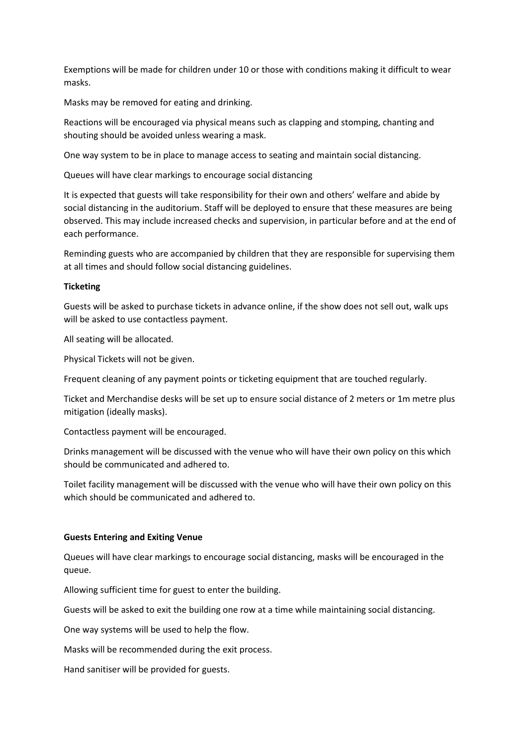Exemptions will be made for children under 10 or those with conditions making it difficult to wear masks.

Masks may be removed for eating and drinking.

Reactions will be encouraged via physical means such as clapping and stomping, chanting and shouting should be avoided unless wearing a mask.

One way system to be in place to manage access to seating and maintain social distancing.

Queues will have clear markings to encourage social distancing

It is expected that guests will take responsibility for their own and others' welfare and abide by social distancing in the auditorium. Staff will be deployed to ensure that these measures are being observed. This may include increased checks and supervision, in particular before and at the end of each performance.

Reminding guests who are accompanied by children that they are responsible for supervising them at all times and should follow social distancing guidelines.

## **Ticketing**

Guests will be asked to purchase tickets in advance online, if the show does not sell out, walk ups will be asked to use contactless payment.

All seating will be allocated.

Physical Tickets will not be given.

Frequent cleaning of any payment points or ticketing equipment that are touched regularly.

Ticket and Merchandise desks will be set up to ensure social distance of 2 meters or 1m metre plus mitigation (ideally masks).

Contactless payment will be encouraged.

Drinks management will be discussed with the venue who will have their own policy on this which should be communicated and adhered to.

Toilet facility management will be discussed with the venue who will have their own policy on this which should be communicated and adhered to.

#### **Guests Entering and Exiting Venue**

Queues will have clear markings to encourage social distancing, masks will be encouraged in the queue.

Allowing sufficient time for guest to enter the building.

Guests will be asked to exit the building one row at a time while maintaining social distancing.

One way systems will be used to help the flow.

Masks will be recommended during the exit process.

Hand sanitiser will be provided for guests.